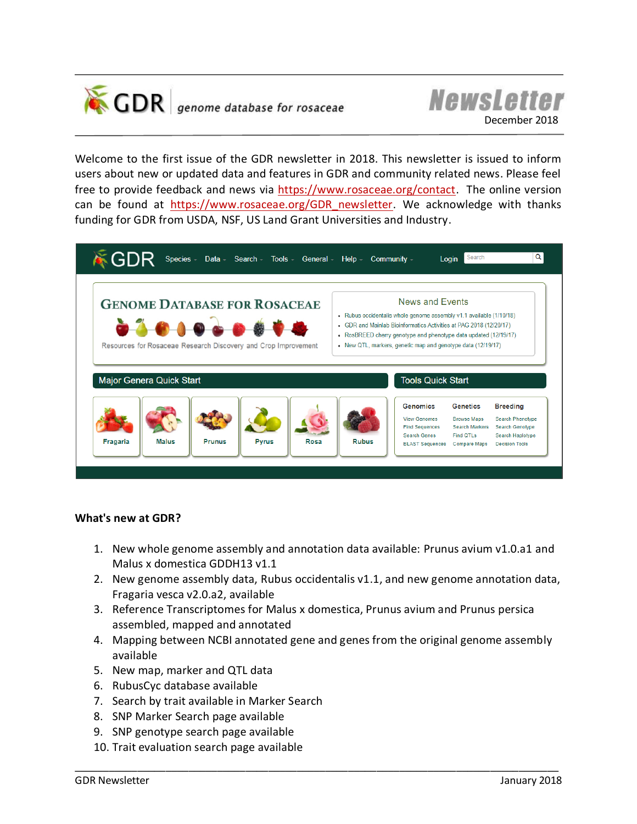



Welcome to the first issue of the GDR newsletter in 2018. This newsletter is issued to inform users about new or updated data and features in GDR and community related news. Please feel free to provide feedback and news via [https://www.rosaceae.org/contact.](https://www.rosaceae.org/contact) The online version can be found at [https://www.rosaceae.org/GDR\\_newsletter.](https://www.rosaceae.org/GDR_newsletter) We acknowledge with thanks funding for GDR from USDA, NSF, US Land Grant Universities and Industry.



## **What's new at GDR?**

- 1. New whole genome assembly and annotation data available: Prunus avium v1.0.a1 and Malus x domestica GDDH13 v1.1
- 2. New genome assembly data, Rubus occidentalis v1.1, and new genome annotation data, Fragaria vesca v2.0.a2, available
- 3. Reference Transcriptomes for Malus x domestica, Prunus avium and Prunus persica assembled, mapped and annotated

- 4. Mapping between NCBI annotated gene and genes from the original genome assembly available
- 5. New map, marker and QTL data
- 6. RubusCyc database available
- 7. Search by trait available in Marker Search
- 8. SNP Marker Search page available
- 9. SNP genotype search page available
- 10. Trait evaluation search page available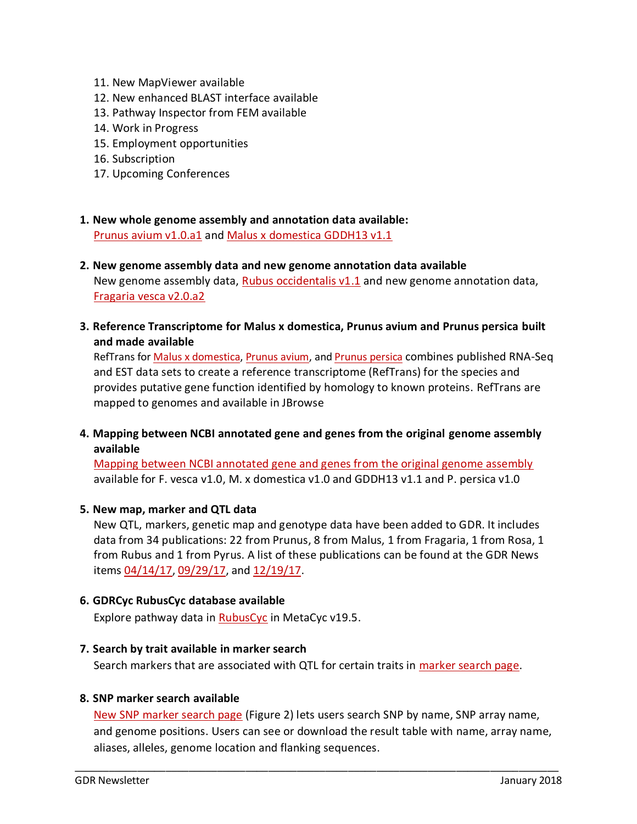- 11. New MapViewer available
- 12. New enhanced BLAST interface available
- 13. Pathway Inspector from FEM available
- 14. Work in Progress
- 15. Employment opportunities
- 16. Subscription
- 17. Upcoming Conferences
- **1. New whole genome assembly and annotation data available:**  [Prunus avium v1.0.a1](https://www.rosaceae.org/species/prunus_avium/genome_v1.0.a1) and [Malus x domestica GDDH13 v1.1](https://www.rosaceae.org/species/malus/malus_x_domestica/genome_GDDH13_v1.1)
- **2. New genome assembly data and new genome annotation data available** New genome assembly data, [Rubus occidentalis v1.1](https://www.rosaceae.org/analysis/251) and new genome annotation data, Fragaria [vesca v2.0.a2](https://www.rosaceae.org/species/fragaria_vesca/genome_v2.0.a2)
- **3. Reference Transcriptome for Malus x domestica, Prunus avium and Prunus persica built and made available**

RefTrans for **Malus x domestica, [Prunus avium,](https://www.rosaceae.org/node/5452960) and [Prunus persica](https://www.rosaceae.org/node/5213786) combines published RNA-Seq** and EST data sets to create a reference transcriptome (RefTrans) for the species and provides putative gene function identified by homology to known proteins. RefTrans are mapped to genomes and available in JBrowse

**4. Mapping between NCBI annotated gene and genes from the original genome assembly available**

[Mapping between NCBI annotated gene and genes from the original genome assembly](https://www.rosaceae.org/NCBI_annotation) available for F. vesca v1.0, M. x domestica v1.0 and GDDH13 v1.1 and P. persica v1.0

### **5. New map, marker and QTL data**

New QTL, markers, genetic map and genotype data have been added to GDR. It includes data from 34 publications: 22 from Prunus, 8 from Malus, 1 from Fragaria, 1 from Rosa, 1 from Rubus and 1 from Pyrus. A list of these publications can be found at the GDR News items [04/14/17,](https://www.rosaceae.org/node/5906176) [09/29/17,](https://www.rosaceae.org/node/6527641) and [12/19/17.](https://www.rosaceae.org/node/6536829)

### **6. GDRCyc RubusCyc database available**

Explore pathway data in [RubusCyc](http://ptools.rosaceae.org/organism-summary?object=RUBUS) in MetaCyc v19.5.

### **7. Search by trait available in marker search**

Search markers that are associated with QTL for certain traits in [marker search page.](https://www.rosaceae.org/search/markers)

### **8. SNP marker search available**

[New SNP marker search page](https://www.rosaceae.org/search/snp_markers) (Figure 2) lets users search SNP by name, SNP array name, and genome positions. Users can see or download the result table with name, array name, aliases, alleles, genome location and flanking sequences.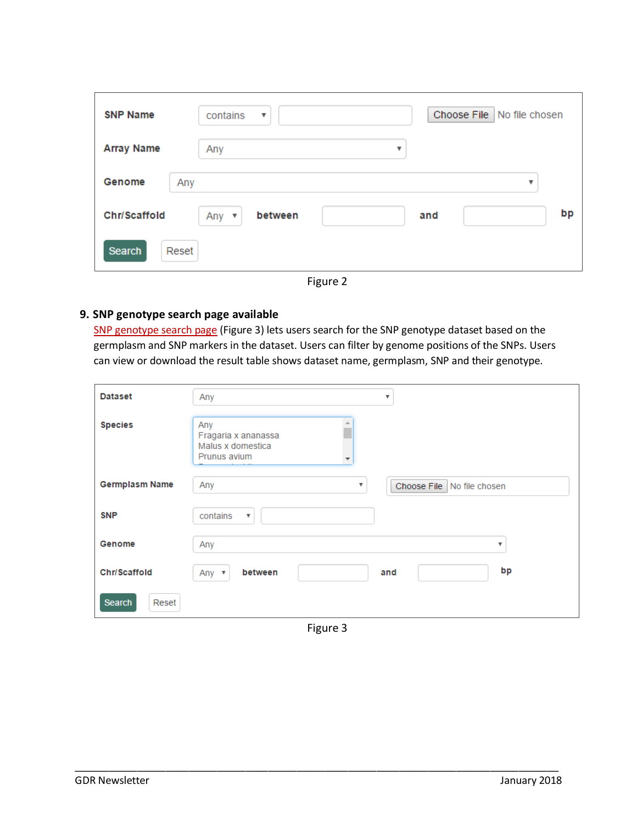| <b>SNP Name</b>     | contains<br>$\boldsymbol{\mathrm{v}}$     | Choose File   No file chosen |
|---------------------|-------------------------------------------|------------------------------|
| <b>Array Name</b>   | Any                                       | $\boldsymbol{\mathrm{v}}$    |
| Genome<br>Any       |                                           | $\overline{\mathbf{v}}$      |
| <b>Chr/Scaffold</b> | between<br>Any<br>$\overline{\mathbf{v}}$ | bp<br>and                    |
| Search<br>Reset     |                                           |                              |

Figure 2

## **9. SNP genotype search page available**

[SNP genotype search page](https://www.rosaceae.org/search/snp_genotype) (Figure 3) lets users search for the SNP genotype dataset based on the germplasm and SNP markers in the dataset. Users can filter by genome positions of the SNPs. Users can view or download the result table shows dataset name, germplasm, SNP and their genotype.

| <b>Dataset</b>         | Any                                                                       | v                          |
|------------------------|---------------------------------------------------------------------------|----------------------------|
| <b>Species</b>         | Any<br>盀<br>Fragaria x ananassa<br>Malus x domestica<br>Prunus avium<br>÷ |                            |
| <b>Germplasm Name</b>  | Any<br>▼                                                                  | Choose File No file chosen |
| <b>SNP</b>             | contains<br>$\boldsymbol{\mathrm{v}}$                                     |                            |
| Genome                 | Any                                                                       | $\boldsymbol{\mathrm{v}}$  |
| <b>Chr/Scaffold</b>    | between<br>Any $\mathbf{\ast}$                                            | bp<br>and                  |
| <b>Search</b><br>Reset |                                                                           |                            |

Figure 3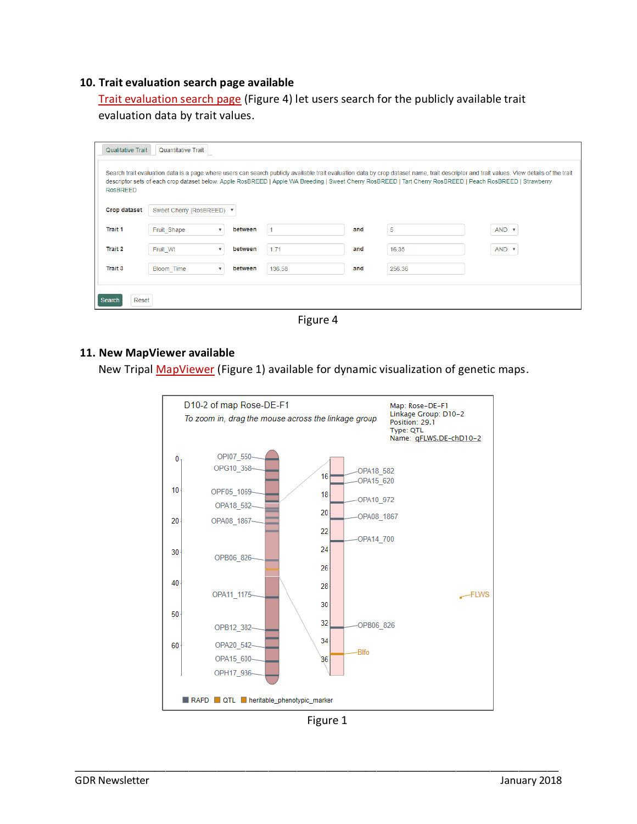### **10. Trait evaluation search page available**

[Trait evaluation search page](https://www.rosaceae.org/search/quantitative_traits) (Figure 4) let users search for the publicly available trait

evaluation data by trait values.

| Qualitative Trait<br><b>Quantitative Trait</b>                                                                                                                                                                                                                                                                                                                              |                           |                                      |        |     |        |              |  |  |
|-----------------------------------------------------------------------------------------------------------------------------------------------------------------------------------------------------------------------------------------------------------------------------------------------------------------------------------------------------------------------------|---------------------------|--------------------------------------|--------|-----|--------|--------------|--|--|
| Search trait evaluation data is a page where users can search publicly available trait evaluation data by crop dataset name, trait descriptor and trait values. View details of the trait<br>descriptor sets of each crop dataset below. Apple RosBREED   Apple WA Breeding   Sweet Cherry RosBREED   Tart Cherry RosBREED   Peach RosBREED   Strawberry<br><b>RosBREED</b> |                           |                                      |        |     |        |              |  |  |
| <b>Crop dataset</b>                                                                                                                                                                                                                                                                                                                                                         | Sweet Cherry (RosBREED) ▼ |                                      |        |     |        |              |  |  |
| <b>Trait 1</b>                                                                                                                                                                                                                                                                                                                                                              | Fruit Shape               | between<br>v                         |        | and | 5      | AND <b>v</b> |  |  |
| Trait 2                                                                                                                                                                                                                                                                                                                                                                     | Fruit Wt                  | between<br>$\boldsymbol{\mathrm{v}}$ | 1.71   | and | 16.35  | AND <b>v</b> |  |  |
| <b>Trait 3</b>                                                                                                                                                                                                                                                                                                                                                              | Bloom Time                | between<br>$\overline{\mathbf{v}}$   | 136.58 | and | 256.36 |              |  |  |
| Reset<br>Search                                                                                                                                                                                                                                                                                                                                                             |                           |                                      |        |     |        |              |  |  |

Figure 4

### **11. New MapViewer available**

New Tripal [MapViewer](https://www.rosaceae.org/mapViewer) (Figure 1) available for dynamic visualization of genetic maps.



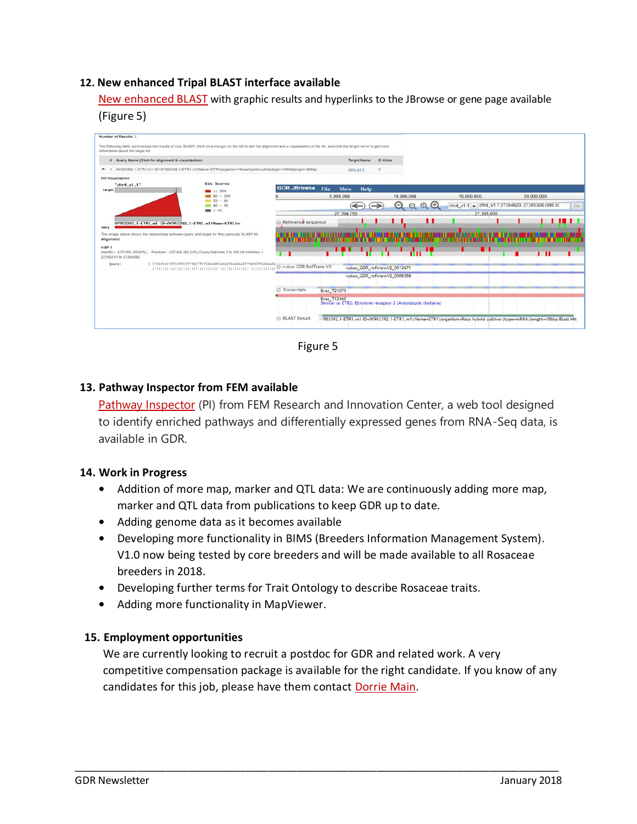## **12. New enhanced Tripal BLAST interface available**

[New enhanced BLAST](https://www.rosaceae.org/blast) with graphic results and hyperlinks to the JBrowse or gene page available (Figure 5)



Figure 5

# **13. Pathway Inspector from FEM available**

[Pathway Inspector](https://www.rosaceae.org/tools/pathway_inspector) (PI) from FEM Research and Innovation Center, a web tool designed to identify enriched pathways and differentially expressed genes from RNA-Seq data, is available in GDR.

## **14. Work in Progress**

- **•** Addition of more map, marker and QTL data: We are continuously adding more map, marker and QTL data from publications to keep GDR up to date.
- **•** Adding genome data as it becomes available
- **•** Developing more functionality in BIMS (Breeders Information Management System). V1.0 now being tested by core breeders and will be made available to all Rosaceae breeders in 2018.
- **•** Developing further terms for Trait Ontology to describe Rosaceae traits.
- **•** Adding more functionality in MapViewer.

## **15. Employment opportunities**

We are currently looking to recruit a postdoc for GDR and related work. A very competitive compensation package is available for the right candidate. If you know of any candidates for this job, please have them contact [Dorrie Main.](mailto:dorrie@wsu.edu)